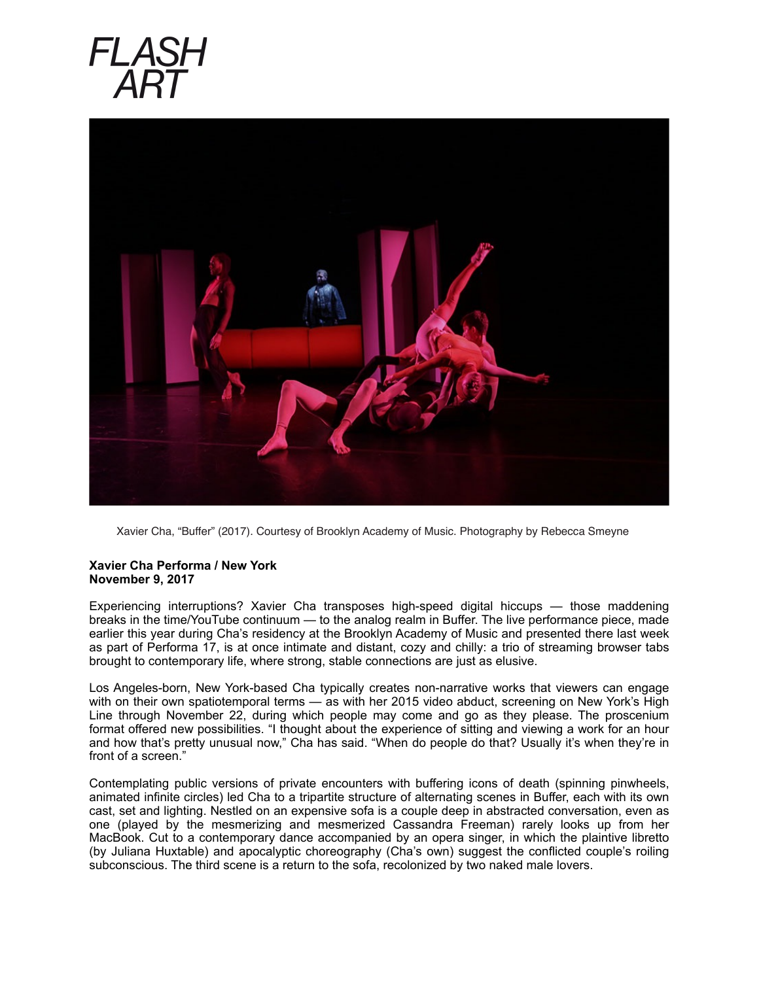



Xavier Cha, "Buffer" (2017). Courtesy of Brooklyn Academy of Music. Photography by Rebecca Smeyne

## **Xavier Cha Performa / New York November 9, 2017**

Experiencing interruptions? Xavier Cha transposes high-speed digital hiccups — those maddening breaks in the time/YouTube continuum — to the analog realm in Buffer. The live performance piece, made earlier this year during Cha's residency at the Brooklyn Academy of Music and presented there last week as part of Performa 17, is at once intimate and distant, cozy and chilly: a trio of streaming browser tabs brought to contemporary life, where strong, stable connections are just as elusive.

Los Angeles-born, New York-based Cha typically creates non-narrative works that viewers can engage with on their own spatiotemporal terms — as with her 2015 video abduct, screening on New York's High Line through November 22, during which people may come and go as they please. The proscenium format offered new possibilities. "I thought about the experience of sitting and viewing a work for an hour and how that's pretty unusual now," Cha has said. "When do people do that? Usually it's when they're in front of a screen."

Contemplating public versions of private encounters with buffering icons of death (spinning pinwheels, animated infinite circles) led Cha to a tripartite structure of alternating scenes in Buffer, each with its own cast, set and lighting. Nestled on an expensive sofa is a couple deep in abstracted conversation, even as one (played by the mesmerizing and mesmerized Cassandra Freeman) rarely looks up from her MacBook. Cut to a contemporary dance accompanied by an opera singer, in which the plaintive libretto (by Juliana Huxtable) and apocalyptic choreography (Cha's own) suggest the conflicted couple's roiling subconscious. The third scene is a return to the sofa, recolonized by two naked male lovers.